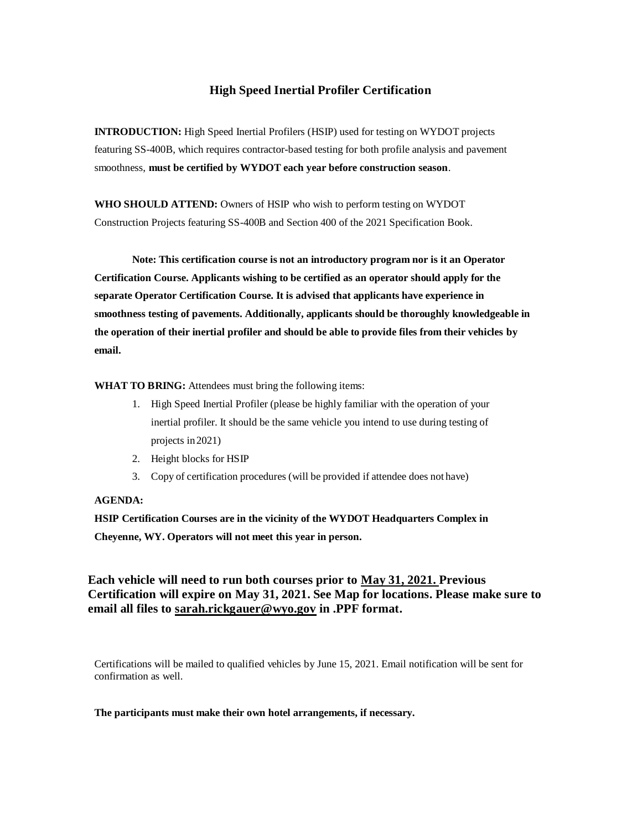## **High Speed Inertial Profiler Certification**

**INTRODUCTION:** High Speed Inertial Profilers (HSIP) used for testing on WYDOT projects featuring SS-400B, which requires contractor-based testing for both profile analysis and pavement smoothness, **must be certified by WYDOT each year before construction season**.

**WHO SHOULD ATTEND:** Owners of HSIP who wish to perform testing on WYDOT Construction Projects featuring SS-400B and Section 400 of the 2021 Specification Book.

**Note: This certification course is not an introductory program nor is it an Operator Certification Course. Applicants wishing to be certified as an operator should apply for the separate Operator Certification Course. It is advised that applicants have experience in smoothness testing of pavements. Additionally, applicants should be thoroughly knowledgeable in the operation of their inertial profiler and should be able to provide files from their vehicles by email.**

**WHAT TO BRING:** Attendees must bring the following items:

- 1. High Speed Inertial Profiler (please be highly familiar with the operation of your inertial profiler. It should be the same vehicle you intend to use during testing of projects in2021)
- 2. Height blocks for HSIP
- 3. Copy of certification procedures (will be provided if attendee does not have)

## **AGENDA:**

**HSIP Certification Courses are in the vicinity of the WYDOT Headquarters Complex in Cheyenne, WY. Operators will not meet this year in person.**

**Each vehicle will need to run both courses prior to May 31, 2021. Previous Certification will expire on May 31, 2021. See Map for locations. Please make sure to email all files to sarah.rickgauer@wyo.gov in .PPF format.**

Certifications will be mailed to qualified vehicles by June 15, 2021. Email notification will be sent for confirmation as well.

**The participants must make their own hotel arrangements, if necessary.**